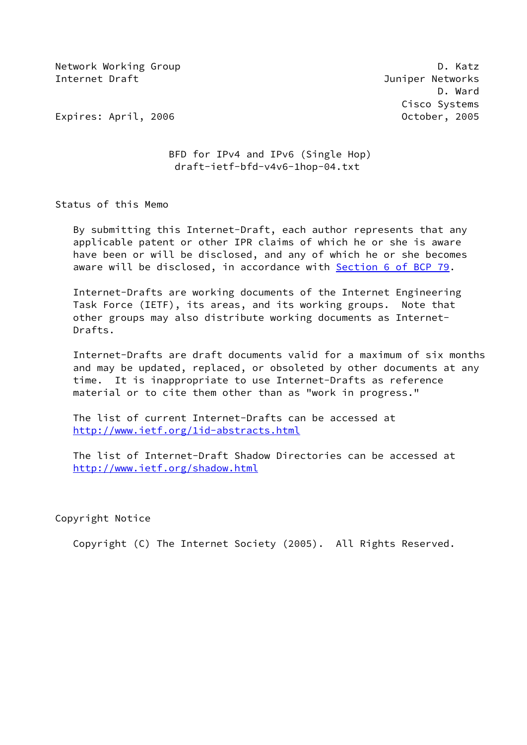Network Working Group **D. Ratz** Internet Draft Juniper Networks

 D. Ward Cisco Systems

Expires: April, 2006 October, 2005

# BFD for IPv4 and IPv6 (Single Hop) draft-ietf-bfd-v4v6-1hop-04.txt

Status of this Memo

 By submitting this Internet-Draft, each author represents that any applicable patent or other IPR claims of which he or she is aware have been or will be disclosed, and any of which he or she becomes aware will be disclosed, in accordance with Section [6 of BCP 79.](https://datatracker.ietf.org/doc/pdf/bcp79#section-6)

 Internet-Drafts are working documents of the Internet Engineering Task Force (IETF), its areas, and its working groups. Note that other groups may also distribute working documents as Internet- Drafts.

 Internet-Drafts are draft documents valid for a maximum of six months and may be updated, replaced, or obsoleted by other documents at any time. It is inappropriate to use Internet-Drafts as reference material or to cite them other than as "work in progress."

 The list of current Internet-Drafts can be accessed at <http://www.ietf.org/1id-abstracts.html>

 The list of Internet-Draft Shadow Directories can be accessed at <http://www.ietf.org/shadow.html>

Copyright Notice

Copyright (C) The Internet Society (2005). All Rights Reserved.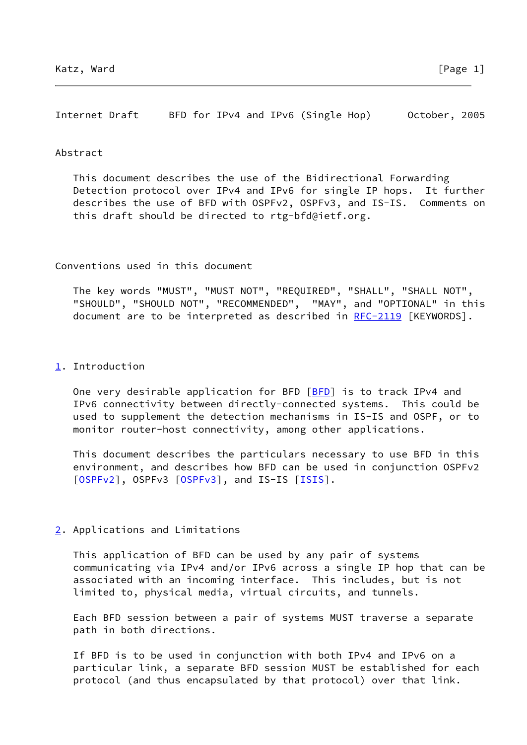Internet Draft BFD for IPv4 and IPv6 (Single Hop) October, 2005

#### Abstract

 This document describes the use of the Bidirectional Forwarding Detection protocol over IPv4 and IPv6 for single IP hops. It further describes the use of BFD with OSPFv2, OSPFv3, and IS-IS. Comments on this draft should be directed to rtg-bfd@ietf.org.

Conventions used in this document

 The key words "MUST", "MUST NOT", "REQUIRED", "SHALL", "SHALL NOT", "SHOULD", "SHOULD NOT", "RECOMMENDED", "MAY", and "OPTIONAL" in this document are to be interpreted as described in [RFC-2119](https://datatracker.ietf.org/doc/pdf/rfc2119) [KEYWORDS].

#### <span id="page-1-0"></span>[1](#page-1-0). Introduction

One very desirable application for BFD [\[BFD](#page-9-0)] is to track IPv4 and IPv6 connectivity between directly-connected systems. This could be used to supplement the detection mechanisms in IS-IS and OSPF, or to monitor router-host connectivity, among other applications.

 This document describes the particulars necessary to use BFD in this environment, and describes how BFD can be used in conjunction OSPFv2 [\[OSPFv2](#page-10-0)], OSPFv3 [\[OSPFv3](#page-10-1)], and IS-IS [\[ISIS](#page-10-2)].

# <span id="page-1-1"></span>[2](#page-1-1). Applications and Limitations

 This application of BFD can be used by any pair of systems communicating via IPv4 and/or IPv6 across a single IP hop that can be associated with an incoming interface. This includes, but is not limited to, physical media, virtual circuits, and tunnels.

 Each BFD session between a pair of systems MUST traverse a separate path in both directions.

 If BFD is to be used in conjunction with both IPv4 and IPv6 on a particular link, a separate BFD session MUST be established for each protocol (and thus encapsulated by that protocol) over that link.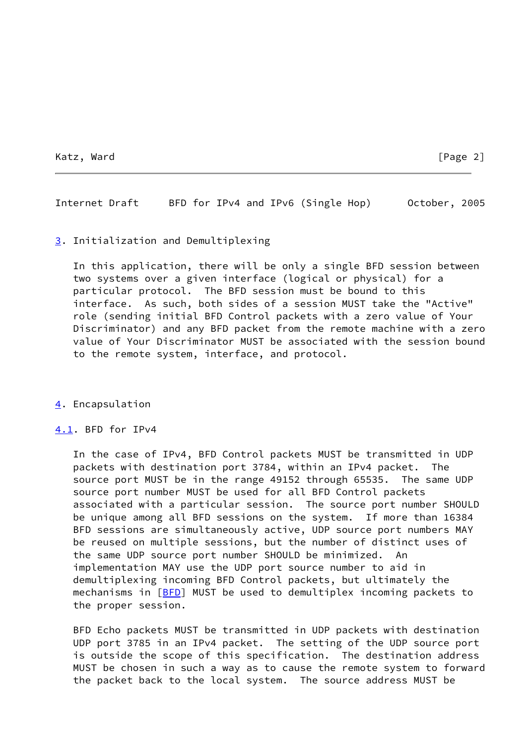Katz, Ward [Page 2]

Internet Draft BFD for IPv4 and IPv6 (Single Hop) October, 2005

### <span id="page-2-0"></span>[3](#page-2-0). Initialization and Demultiplexing

 In this application, there will be only a single BFD session between two systems over a given interface (logical or physical) for a particular protocol. The BFD session must be bound to this interface. As such, both sides of a session MUST take the "Active" role (sending initial BFD Control packets with a zero value of Your Discriminator) and any BFD packet from the remote machine with a zero value of Your Discriminator MUST be associated with the session bound to the remote system, interface, and protocol.

# <span id="page-2-1"></span>[4](#page-2-1). Encapsulation

### <span id="page-2-2"></span>[4.1](#page-2-2). BFD for IPv4

 In the case of IPv4, BFD Control packets MUST be transmitted in UDP packets with destination port 3784, within an IPv4 packet. The source port MUST be in the range 49152 through 65535. The same UDP source port number MUST be used for all BFD Control packets associated with a particular session. The source port number SHOULD be unique among all BFD sessions on the system. If more than 16384 BFD sessions are simultaneously active, UDP source port numbers MAY be reused on multiple sessions, but the number of distinct uses of the same UDP source port number SHOULD be minimized. An implementation MAY use the UDP port source number to aid in demultiplexing incoming BFD Control packets, but ultimately the mechanisms in [[BFD](#page-9-0)] MUST be used to demultiplex incoming packets to the proper session.

 BFD Echo packets MUST be transmitted in UDP packets with destination UDP port 3785 in an IPv4 packet. The setting of the UDP source port is outside the scope of this specification. The destination address MUST be chosen in such a way as to cause the remote system to forward the packet back to the local system. The source address MUST be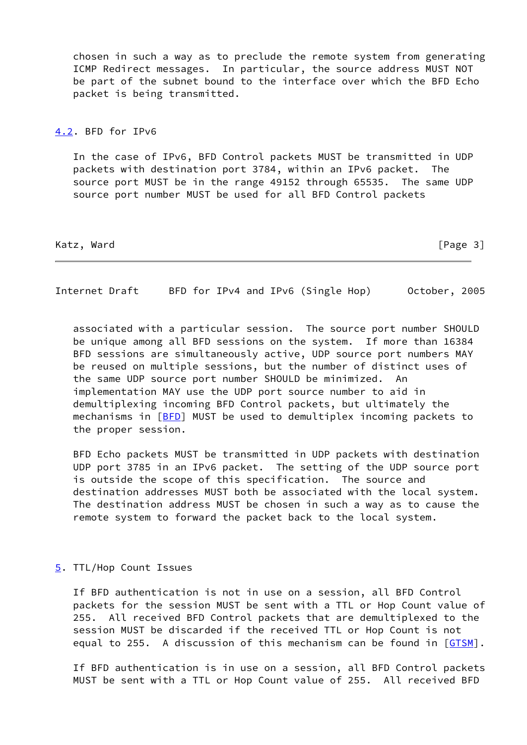chosen in such a way as to preclude the remote system from generating ICMP Redirect messages. In particular, the source address MUST NOT be part of the subnet bound to the interface over which the BFD Echo packet is being transmitted.

### <span id="page-3-0"></span>[4.2](#page-3-0). BFD for IPv6

 In the case of IPv6, BFD Control packets MUST be transmitted in UDP packets with destination port 3784, within an IPv6 packet. The source port MUST be in the range 49152 through 65535. The same UDP source port number MUST be used for all BFD Control packets

Katz, Ward [Page 3]

Internet Draft BFD for IPv4 and IPv6 (Single Hop) October, 2005

 associated with a particular session. The source port number SHOULD be unique among all BFD sessions on the system. If more than 16384 BFD sessions are simultaneously active, UDP source port numbers MAY be reused on multiple sessions, but the number of distinct uses of the same UDP source port number SHOULD be minimized. An implementation MAY use the UDP port source number to aid in demultiplexing incoming BFD Control packets, but ultimately the mechanisms in [[BFD](#page-9-0)] MUST be used to demultiplex incoming packets to the proper session.

 BFD Echo packets MUST be transmitted in UDP packets with destination UDP port 3785 in an IPv6 packet. The setting of the UDP source port is outside the scope of this specification. The source and destination addresses MUST both be associated with the local system. The destination address MUST be chosen in such a way as to cause the remote system to forward the packet back to the local system.

### <span id="page-3-1"></span>[5](#page-3-1). TTL/Hop Count Issues

 If BFD authentication is not in use on a session, all BFD Control packets for the session MUST be sent with a TTL or Hop Count value of 255. All received BFD Control packets that are demultiplexed to the session MUST be discarded if the received TTL or Hop Count is not equal to 255. A discussion of this mechanism can be found in [[GTSM\]](#page-9-1).

 If BFD authentication is in use on a session, all BFD Control packets MUST be sent with a TTL or Hop Count value of 255. All received BFD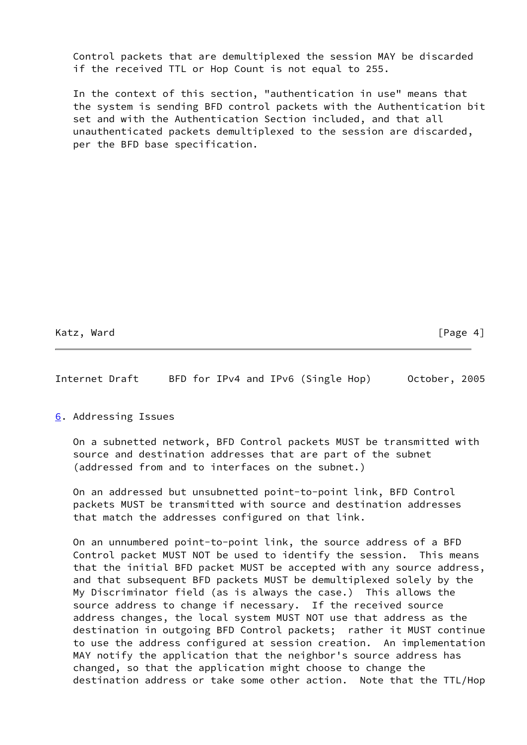Control packets that are demultiplexed the session MAY be discarded if the received TTL or Hop Count is not equal to 255.

 In the context of this section, "authentication in use" means that the system is sending BFD control packets with the Authentication bit set and with the Authentication Section included, and that all unauthenticated packets demultiplexed to the session are discarded, per the BFD base specification.

Katz, Ward [Page 4]

Internet Draft BFD for IPv4 and IPv6 (Single Hop) October, 2005

<span id="page-4-0"></span>[6](#page-4-0). Addressing Issues

 On a subnetted network, BFD Control packets MUST be transmitted with source and destination addresses that are part of the subnet (addressed from and to interfaces on the subnet.)

 On an addressed but unsubnetted point-to-point link, BFD Control packets MUST be transmitted with source and destination addresses that match the addresses configured on that link.

 On an unnumbered point-to-point link, the source address of a BFD Control packet MUST NOT be used to identify the session. This means that the initial BFD packet MUST be accepted with any source address, and that subsequent BFD packets MUST be demultiplexed solely by the My Discriminator field (as is always the case.) This allows the source address to change if necessary. If the received source address changes, the local system MUST NOT use that address as the destination in outgoing BFD Control packets; rather it MUST continue to use the address configured at session creation. An implementation MAY notify the application that the neighbor's source address has changed, so that the application might choose to change the destination address or take some other action. Note that the TTL/Hop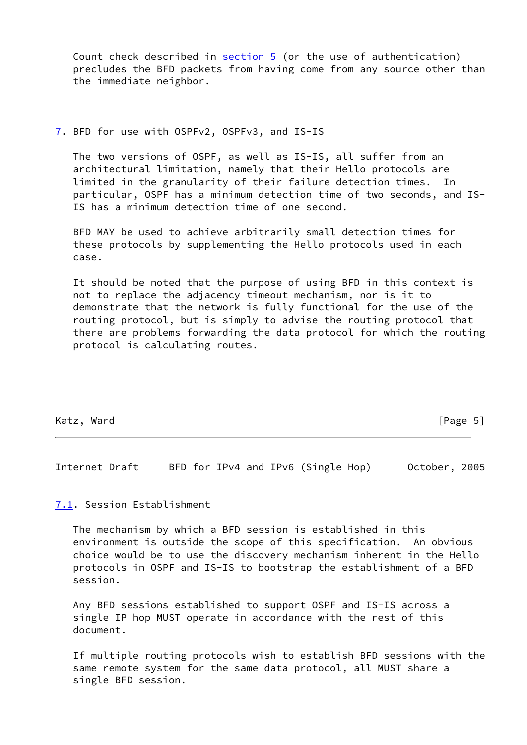Count check described in [section 5](#page-3-1) (or the use of authentication) precludes the BFD packets from having come from any source other than the immediate neighbor.

### <span id="page-5-0"></span>[7](#page-5-0). BFD for use with OSPFv2, OSPFv3, and IS-IS

 The two versions of OSPF, as well as IS-IS, all suffer from an architectural limitation, namely that their Hello protocols are limited in the granularity of their failure detection times. In particular, OSPF has a minimum detection time of two seconds, and IS- IS has a minimum detection time of one second.

 BFD MAY be used to achieve arbitrarily small detection times for these protocols by supplementing the Hello protocols used in each case.

 It should be noted that the purpose of using BFD in this context is not to replace the adjacency timeout mechanism, nor is it to demonstrate that the network is fully functional for the use of the routing protocol, but is simply to advise the routing protocol that there are problems forwarding the data protocol for which the routing protocol is calculating routes.

### Katz, Ward [Page 5]

Internet Draft BFD for IPv4 and IPv6 (Single Hop) October, 2005

# <span id="page-5-1"></span>[7.1](#page-5-1). Session Establishment

 The mechanism by which a BFD session is established in this environment is outside the scope of this specification. An obvious choice would be to use the discovery mechanism inherent in the Hello protocols in OSPF and IS-IS to bootstrap the establishment of a BFD session.

 Any BFD sessions established to support OSPF and IS-IS across a single IP hop MUST operate in accordance with the rest of this document.

 If multiple routing protocols wish to establish BFD sessions with the same remote system for the same data protocol, all MUST share a single BFD session.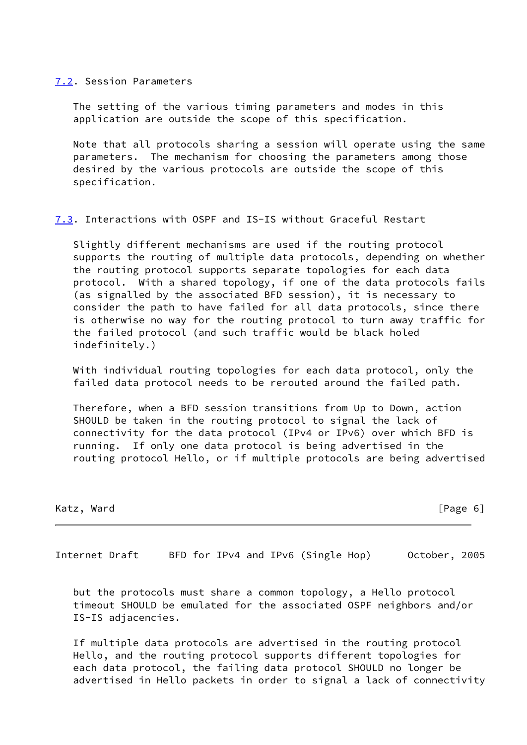#### <span id="page-6-0"></span>[7.2](#page-6-0). Session Parameters

 The setting of the various timing parameters and modes in this application are outside the scope of this specification.

 Note that all protocols sharing a session will operate using the same parameters. The mechanism for choosing the parameters among those desired by the various protocols are outside the scope of this specification.

# <span id="page-6-1"></span>[7.3](#page-6-1). Interactions with OSPF and IS-IS without Graceful Restart

 Slightly different mechanisms are used if the routing protocol supports the routing of multiple data protocols, depending on whether the routing protocol supports separate topologies for each data protocol. With a shared topology, if one of the data protocols fails (as signalled by the associated BFD session), it is necessary to consider the path to have failed for all data protocols, since there is otherwise no way for the routing protocol to turn away traffic for the failed protocol (and such traffic would be black holed indefinitely.)

 With individual routing topologies for each data protocol, only the failed data protocol needs to be rerouted around the failed path.

 Therefore, when a BFD session transitions from Up to Down, action SHOULD be taken in the routing protocol to signal the lack of connectivity for the data protocol (IPv4 or IPv6) over which BFD is running. If only one data protocol is being advertised in the routing protocol Hello, or if multiple protocols are being advertised

 $[Page 6]$ 

Internet Draft BFD for IPv4 and IPv6 (Single Hop) October, 2005

 but the protocols must share a common topology, a Hello protocol timeout SHOULD be emulated for the associated OSPF neighbors and/or IS-IS adjacencies.

 If multiple data protocols are advertised in the routing protocol Hello, and the routing protocol supports different topologies for each data protocol, the failing data protocol SHOULD no longer be advertised in Hello packets in order to signal a lack of connectivity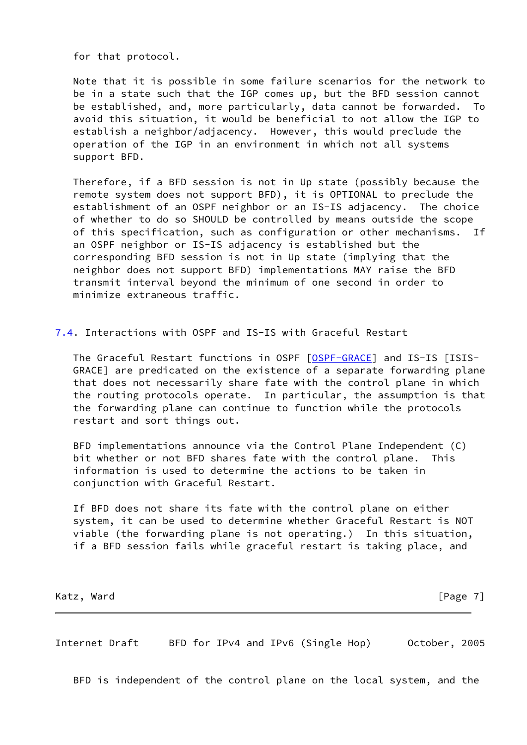for that protocol.

 Note that it is possible in some failure scenarios for the network to be in a state such that the IGP comes up, but the BFD session cannot be established, and, more particularly, data cannot be forwarded. To avoid this situation, it would be beneficial to not allow the IGP to establish a neighbor/adjacency. However, this would preclude the operation of the IGP in an environment in which not all systems support BFD.

 Therefore, if a BFD session is not in Up state (possibly because the remote system does not support BFD), it is OPTIONAL to preclude the establishment of an OSPF neighbor or an IS-IS adjacency. The choice of whether to do so SHOULD be controlled by means outside the scope of this specification, such as configuration or other mechanisms. If an OSPF neighbor or IS-IS adjacency is established but the corresponding BFD session is not in Up state (implying that the neighbor does not support BFD) implementations MAY raise the BFD transmit interval beyond the minimum of one second in order to minimize extraneous traffic.

<span id="page-7-0"></span>[7.4](#page-7-0). Interactions with OSPF and IS-IS with Graceful Restart

 The Graceful Restart functions in OSPF [\[OSPF-GRACE](#page-10-3)] and IS-IS [ISIS- GRACE] are predicated on the existence of a separate forwarding plane that does not necessarily share fate with the control plane in which the routing protocols operate. In particular, the assumption is that the forwarding plane can continue to function while the protocols restart and sort things out.

 BFD implementations announce via the Control Plane Independent (C) bit whether or not BFD shares fate with the control plane. This information is used to determine the actions to be taken in conjunction with Graceful Restart.

 If BFD does not share its fate with the control plane on either system, it can be used to determine whether Graceful Restart is NOT viable (the forwarding plane is not operating.) In this situation, if a BFD session fails while graceful restart is taking place, and

Katz, Ward [Page 7]

Internet Draft BFD for IPv4 and IPv6 (Single Hop) October, 2005

BFD is independent of the control plane on the local system, and the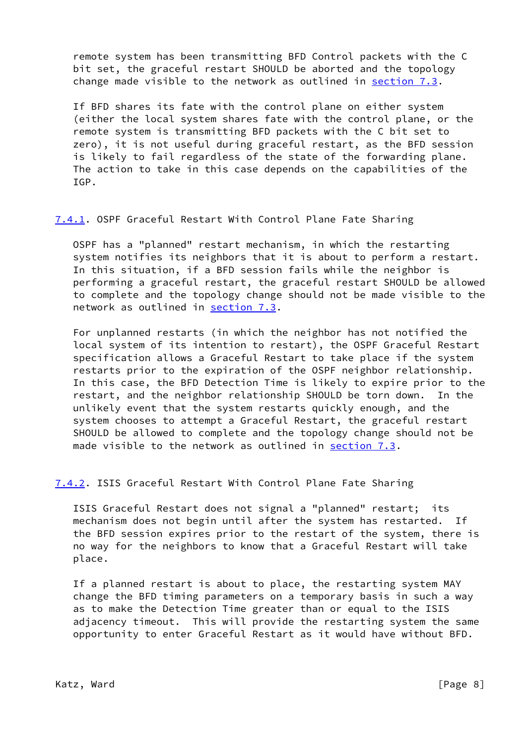remote system has been transmitting BFD Control packets with the C bit set, the graceful restart SHOULD be aborted and the topology change made visible to the network as outlined in [section 7.3](#page-6-1).

 If BFD shares its fate with the control plane on either system (either the local system shares fate with the control plane, or the remote system is transmitting BFD packets with the C bit set to zero), it is not useful during graceful restart, as the BFD session is likely to fail regardless of the state of the forwarding plane. The action to take in this case depends on the capabilities of the IGP.

### <span id="page-8-0"></span>[7.4.1](#page-8-0). OSPF Graceful Restart With Control Plane Fate Sharing

 OSPF has a "planned" restart mechanism, in which the restarting system notifies its neighbors that it is about to perform a restart. In this situation, if a BFD session fails while the neighbor is performing a graceful restart, the graceful restart SHOULD be allowed to complete and the topology change should not be made visible to the network as outlined in [section 7.3](#page-6-1).

 For unplanned restarts (in which the neighbor has not notified the local system of its intention to restart), the OSPF Graceful Restart specification allows a Graceful Restart to take place if the system restarts prior to the expiration of the OSPF neighbor relationship. In this case, the BFD Detection Time is likely to expire prior to the restart, and the neighbor relationship SHOULD be torn down. In the unlikely event that the system restarts quickly enough, and the system chooses to attempt a Graceful Restart, the graceful restart SHOULD be allowed to complete and the topology change should not be made visible to the network as outlined in [section 7.3](#page-6-1).

# <span id="page-8-1"></span>[7.4.2](#page-8-1). ISIS Graceful Restart With Control Plane Fate Sharing

 ISIS Graceful Restart does not signal a "planned" restart; its mechanism does not begin until after the system has restarted. If the BFD session expires prior to the restart of the system, there is no way for the neighbors to know that a Graceful Restart will take place.

 If a planned restart is about to place, the restarting system MAY change the BFD timing parameters on a temporary basis in such a way as to make the Detection Time greater than or equal to the ISIS adjacency timeout. This will provide the restarting system the same opportunity to enter Graceful Restart as it would have without BFD.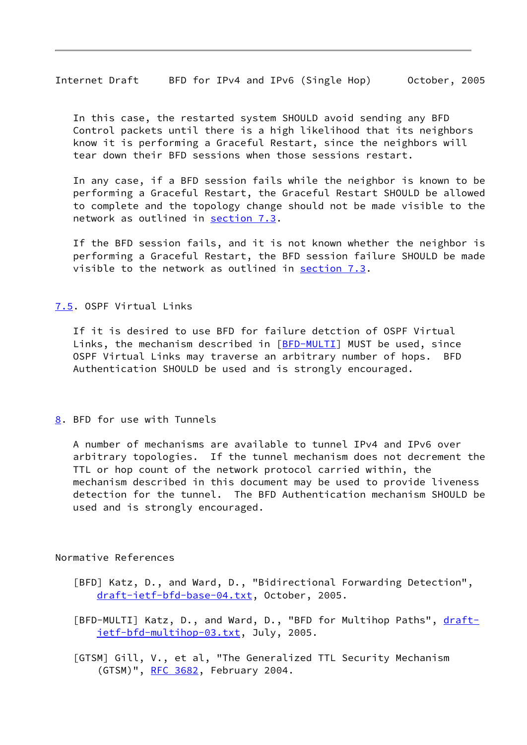Internet Draft BFD for IPv4 and IPv6 (Single Hop) October, 2005

 In this case, the restarted system SHOULD avoid sending any BFD Control packets until there is a high likelihood that its neighbors know it is performing a Graceful Restart, since the neighbors will tear down their BFD sessions when those sessions restart.

 In any case, if a BFD session fails while the neighbor is known to be performing a Graceful Restart, the Graceful Restart SHOULD be allowed to complete and the topology change should not be made visible to the network as outlined in [section 7.3](#page-6-1).

 If the BFD session fails, and it is not known whether the neighbor is performing a Graceful Restart, the BFD session failure SHOULD be made visible to the network as outlined in [section 7.3](#page-6-1).

# <span id="page-9-2"></span>[7.5](#page-9-2). OSPF Virtual Links

 If it is desired to use BFD for failure detction of OSPF Virtual Links, the mechanism described in  $[BFD-MULTI]$  $[BFD-MULTI]$  MUST be used, since OSPF Virtual Links may traverse an arbitrary number of hops. BFD Authentication SHOULD be used and is strongly encouraged.

### <span id="page-9-4"></span>[8](#page-9-4). BFD for use with Tunnels

 A number of mechanisms are available to tunnel IPv4 and IPv6 over arbitrary topologies. If the tunnel mechanism does not decrement the TTL or hop count of the network protocol carried within, the mechanism described in this document may be used to provide liveness detection for the tunnel. The BFD Authentication mechanism SHOULD be used and is strongly encouraged.

### Normative References

- <span id="page-9-0"></span> [BFD] Katz, D., and Ward, D., "Bidirectional Forwarding Detection", [draft-ietf-bfd-base-04.txt,](https://datatracker.ietf.org/doc/pdf/draft-ietf-bfd-base-04.txt) October, 2005.
- <span id="page-9-3"></span>[BFD-MULTI] Katz, D., and Ward, D., "BFD for Multihop Paths", [draft](https://datatracker.ietf.org/doc/pdf/draft-ietf-bfd-multihop-03.txt) [ietf-bfd-multihop-03.txt,](https://datatracker.ietf.org/doc/pdf/draft-ietf-bfd-multihop-03.txt) July, 2005.
- <span id="page-9-1"></span> [GTSM] Gill, V., et al, "The Generalized TTL Security Mechanism (GTSM)", [RFC 3682](https://datatracker.ietf.org/doc/pdf/rfc3682), February 2004.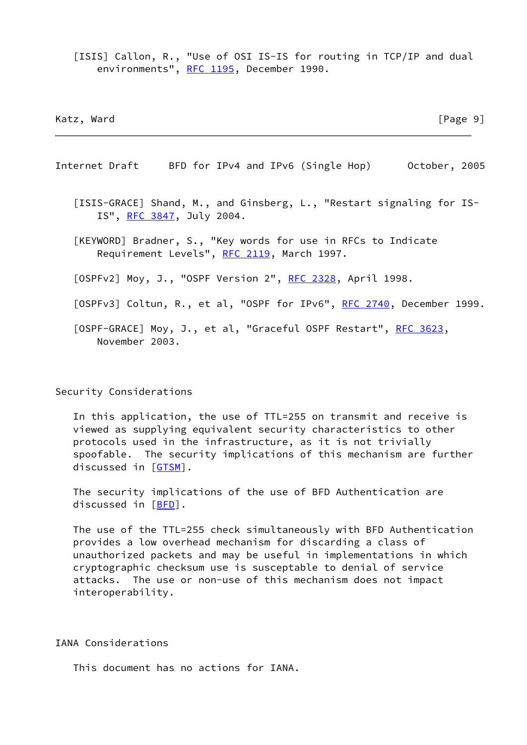<span id="page-10-2"></span>[ISIS] Callon, R., "Use of OSI IS-IS for routing in TCP/IP and dual environments", [RFC 1195,](https://datatracker.ietf.org/doc/pdf/rfc1195) December 1990.

Katz, Ward [Page 9]

Internet Draft BFD for IPv4 and IPv6 (Single Hop) October, 2005

 [ISIS-GRACE] Shand, M., and Ginsberg, L., "Restart signaling for IS- IS", [RFC 3847](https://datatracker.ietf.org/doc/pdf/rfc3847), July 2004.

 [KEYWORD] Bradner, S., "Key words for use in RFCs to Indicate Requirement Levels", [RFC 2119](https://datatracker.ietf.org/doc/pdf/rfc2119), March 1997.

<span id="page-10-0"></span>[OSPFv2] Moy, J., "OSPF Version 2", [RFC 2328,](https://datatracker.ietf.org/doc/pdf/rfc2328) April 1998.

<span id="page-10-1"></span>[OSPFv3] Coltun, R., et al, "OSPF for IPv6", [RFC 2740](https://datatracker.ietf.org/doc/pdf/rfc2740), December 1999.

<span id="page-10-3"></span>[OSPF-GRACE] Moy, J., et al, "Graceful OSPF Restart", [RFC 3623](https://datatracker.ietf.org/doc/pdf/rfc3623), November 2003.

Security Considerations

 In this application, the use of TTL=255 on transmit and receive is viewed as supplying equivalent security characteristics to other protocols used in the infrastructure, as it is not trivially spoofable. The security implications of this mechanism are further discussed in [\[GTSM](#page-9-1)].

 The security implications of the use of BFD Authentication are discussed in [\[BFD](#page-9-0)].

 The use of the TTL=255 check simultaneously with BFD Authentication provides a low overhead mechanism for discarding a class of unauthorized packets and may be useful in implementations in which cryptographic checksum use is susceptable to denial of service attacks. The use or non-use of this mechanism does not impact interoperability.

IANA Considerations

This document has no actions for IANA.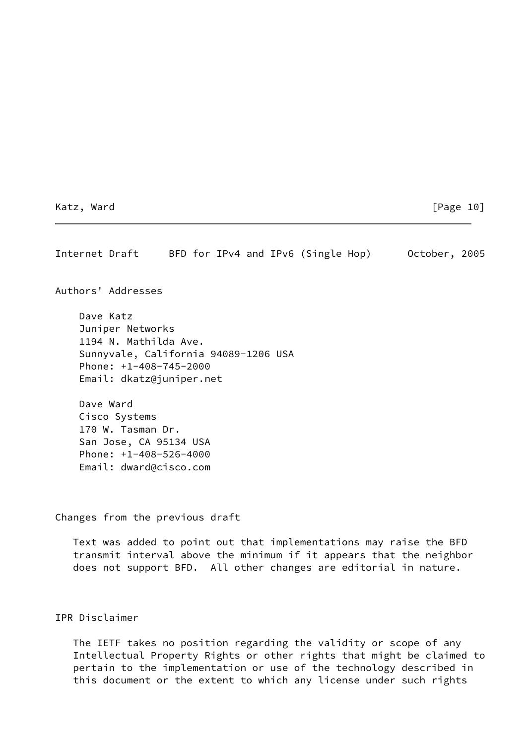Katz, Ward [Page 10]

Internet Draft BFD for IPv4 and IPv6 (Single Hop) October, 2005

Authors' Addresses

 Dave Katz Juniper Networks 1194 N. Mathilda Ave. Sunnyvale, California 94089-1206 USA Phone: +1-408-745-2000 Email: dkatz@juniper.net

 Dave Ward Cisco Systems 170 W. Tasman Dr. San Jose, CA 95134 USA Phone: +1-408-526-4000 Email: dward@cisco.com

Changes from the previous draft

 Text was added to point out that implementations may raise the BFD transmit interval above the minimum if it appears that the neighbor does not support BFD. All other changes are editorial in nature.

IPR Disclaimer

 The IETF takes no position regarding the validity or scope of any Intellectual Property Rights or other rights that might be claimed to pertain to the implementation or use of the technology described in this document or the extent to which any license under such rights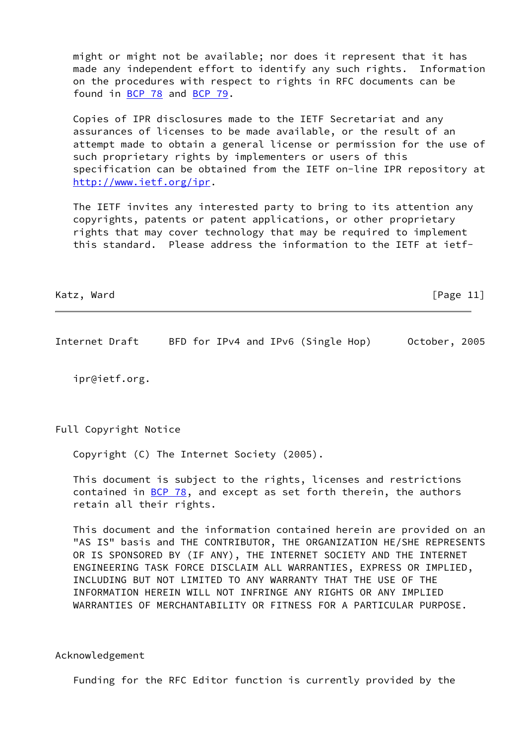might or might not be available; nor does it represent that it has made any independent effort to identify any such rights. Information on the procedures with respect to rights in RFC documents can be found in [BCP 78](https://datatracker.ietf.org/doc/pdf/bcp78) and [BCP 79](https://datatracker.ietf.org/doc/pdf/bcp79).

 Copies of IPR disclosures made to the IETF Secretariat and any assurances of licenses to be made available, or the result of an attempt made to obtain a general license or permission for the use of such proprietary rights by implementers or users of this specification can be obtained from the IETF on-line IPR repository at <http://www.ietf.org/ipr>.

 The IETF invites any interested party to bring to its attention any copyrights, patents or patent applications, or other proprietary rights that may cover technology that may be required to implement this standard. Please address the information to the IETF at ietf-

Katz, Ward [Page 11]

Internet Draft BFD for IPv4 and IPv6 (Single Hop) October, 2005

ipr@ietf.org.

Full Copyright Notice

Copyright (C) The Internet Society (2005).

 This document is subject to the rights, licenses and restrictions contained in  $BCP$  78, and except as set forth therein, the authors retain all their rights.

 This document and the information contained herein are provided on an "AS IS" basis and THE CONTRIBUTOR, THE ORGANIZATION HE/SHE REPRESENTS OR IS SPONSORED BY (IF ANY), THE INTERNET SOCIETY AND THE INTERNET ENGINEERING TASK FORCE DISCLAIM ALL WARRANTIES, EXPRESS OR IMPLIED, INCLUDING BUT NOT LIMITED TO ANY WARRANTY THAT THE USE OF THE INFORMATION HEREIN WILL NOT INFRINGE ANY RIGHTS OR ANY IMPLIED WARRANTIES OF MERCHANTABILITY OR FITNESS FOR A PARTICULAR PURPOSE.

Acknowledgement

Funding for the RFC Editor function is currently provided by the